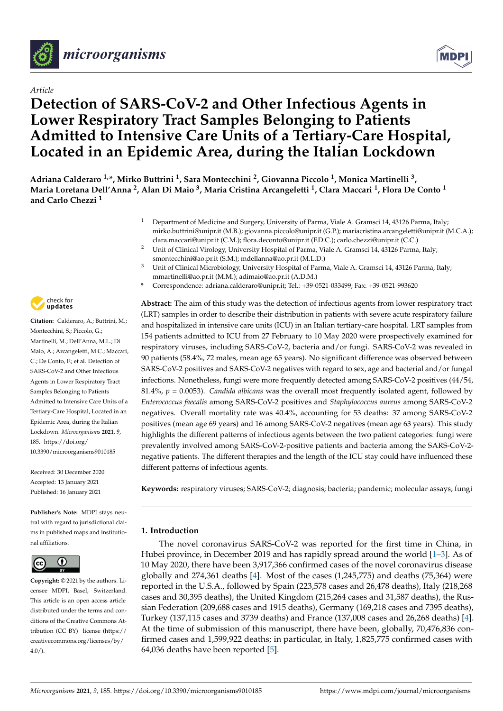

# *Article*

# **Detection of SARS-CoV-2 and Other Infectious Agents in Lower Respiratory Tract Samples Belonging to Patients Admitted to Intensive Care Units of a Tertiary-Care Hospital, Located in an Epidemic Area, during the Italian Lockdown**

**Adriana Calderaro 1,\*, Mirko Buttrini <sup>1</sup> , Sara Montecchini <sup>2</sup> , Giovanna Piccolo <sup>1</sup> , Monica Martinelli <sup>3</sup> , Maria Loretana Dell'Anna <sup>2</sup> , Alan Di Maio <sup>3</sup> , Maria Cristina Arcangeletti <sup>1</sup> , Clara Maccari <sup>1</sup> , Flora De Conto <sup>1</sup> and Carlo Chezzi <sup>1</sup>**

- <sup>1</sup> Department of Medicine and Surgery, University of Parma, Viale A. Gramsci 14, 43126 Parma, Italy; mirko.buttrini@unipr.it (M.B.); giovanna.piccolo@unipr.it (G.P.); mariacristina.arcangeletti@unipr.it (M.C.A.); clara.maccari@unipr.it (C.M.); flora.deconto@unipr.it (F.D.C.); carlo.chezzi@unipr.it (C.C.)
- <sup>2</sup> Unit of Clinical Virology, University Hospital of Parma, Viale A. Gramsci 14, 43126 Parma, Italy; smontecchini@ao.pr.it (S.M.); mdellanna@ao.pr.it (M.L.D.)
- <sup>3</sup> Unit of Clinical Microbiology, University Hospital of Parma, Viale A. Gramsci 14, 43126 Parma, Italy; mmartinelli@ao.pr.it (M.M.); adimaio@ao.pr.it (A.D.M.)
- **\*** Correspondence: adriana.calderaro@unipr.it; Tel.: +39-0521-033499; Fax: +39-0521-993620

**Abstract:** The aim of this study was the detection of infectious agents from lower respiratory tract (LRT) samples in order to describe their distribution in patients with severe acute respiratory failure and hospitalized in intensive care units (ICU) in an Italian tertiary-care hospital. LRT samples from 154 patients admitted to ICU from 27 February to 10 May 2020 were prospectively examined for respiratory viruses, including SARS-CoV-2, bacteria and/or fungi. SARS-CoV-2 was revealed in 90 patients (58.4%, 72 males, mean age 65 years). No significant difference was observed between SARS-CoV-2 positives and SARS-CoV-2 negatives with regard to sex, age and bacterial and/or fungal infections. Nonetheless, fungi were more frequently detected among SARS-CoV-2 positives (44/54, 81.4%, *p* = 0.0053). *Candida albicans* was the overall most frequently isolated agent, followed by *Enterococcus faecalis* among SARS-CoV-2 positives and *Staphylococcus aureus* among SARS-CoV-2 negatives. Overall mortality rate was 40.4%, accounting for 53 deaths: 37 among SARS-CoV-2 positives (mean age 69 years) and 16 among SARS-CoV-2 negatives (mean age 63 years). This study highlights the different patterns of infectious agents between the two patient categories: fungi were prevalently involved among SARS-CoV-2-positive patients and bacteria among the SARS-CoV-2 negative patients. The different therapies and the length of the ICU stay could have influenced these different patterns of infectious agents.

**Keywords:** respiratory viruses; SARS-CoV-2; diagnosis; bacteria; pandemic; molecular assays; fungi

# **1. Introduction**

The novel coronavirus SARS-CoV-2 was reported for the first time in China, in Hubei province, in December 2019 and has rapidly spread around the world [\[1–](#page-8-0)[3\]](#page-8-1). As of 10 May 2020, there have been 3,917,366 confirmed cases of the novel coronavirus disease globally and 274,361 deaths [\[4\]](#page-8-2). Most of the cases (1,245,775) and deaths (75,364) were reported in the U.S.A., followed by Spain (223,578 cases and 26,478 deaths), Italy (218,268 cases and 30,395 deaths), the United Kingdom (215,264 cases and 31,587 deaths), the Russian Federation (209,688 cases and 1915 deaths), Germany (169,218 cases and 7395 deaths), Turkey (137,115 cases and 3739 deaths) and France (137,008 cases and 26,268 deaths) [\[4\]](#page-8-2). At the time of submission of this manuscript, there have been, globally, 70,476,836 confirmed cases and 1,599,922 deaths; in particular, in Italy, 1,825,775 confirmed cases with 64,036 deaths have been reported [\[5\]](#page-8-3).



**Citation:** Calderaro, A : Buttrini, M : Montecchini, S.; Piccolo, G.; Martinelli, M.; Dell'Anna, M.L.; Di Maio, A.; Arcangeletti, M.C.; Maccari, C.; De Conto, F.; et al. Detection of SARS-CoV-2 and Other Infectious Agents in Lower Respiratory Tract Samples Belonging to Patients Admitted to Intensive Care Units of a Tertiary-Care Hospital, Located in an Epidemic Area, during the Italian Lockdown. *Microorganisms* **2021**, *9*, 185. [https://doi.org/](https://doi.org/10.3390/microorganisms9010185) [10.3390/microorganisms9010185](https://doi.org/10.3390/microorganisms9010185)

Received: 30 December 2020 Accepted: 13 January 2021 Published: 16 January 2021

**Publisher's Note:** MDPI stays neutral with regard to jurisdictional claims in published maps and institutional affiliations.



**Copyright:** © 2021 by the authors. Licensee MDPI, Basel, Switzerland. This article is an open access article distributed under the terms and conditions of the Creative Commons Attribution (CC BY) license [\(https://](https://creativecommons.org/licenses/by/4.0/) [creativecommons.org/licenses/by/](https://creativecommons.org/licenses/by/4.0/)  $4.0/$ ).

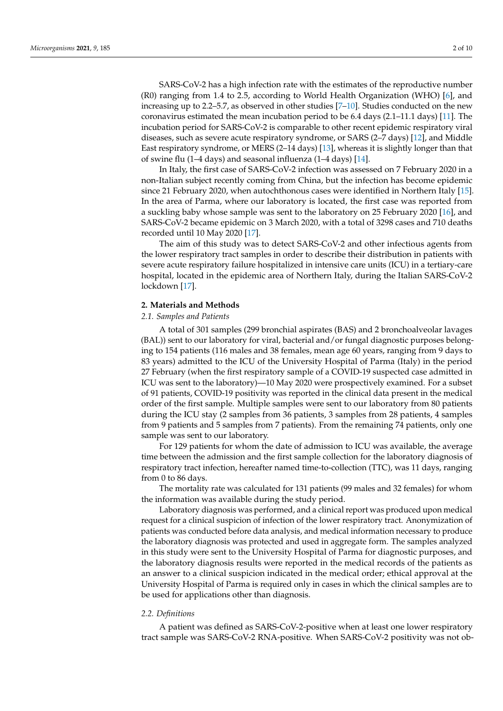SARS-CoV-2 has a high infection rate with the estimates of the reproductive number (R0) ranging from 1.4 to 2.5, according to World Health Organization (WHO) [\[6\]](#page-8-4), and increasing up to 2.2–5.7, as observed in other studies [\[7](#page-8-5)[–10\]](#page-9-0). Studies conducted on the new coronavirus estimated the mean incubation period to be 6.4 days (2.1–11.1 days) [\[11\]](#page-9-1). The incubation period for SARS-CoV-2 is comparable to other recent epidemic respiratory viral diseases, such as severe acute respiratory syndrome, or SARS (2–7 days) [\[12\]](#page-9-2), and Middle East respiratory syndrome, or MERS (2–14 days) [\[13\]](#page-9-3), whereas it is slightly longer than that of swine flu (1–4 days) and seasonal influenza (1–4 days) [\[14\]](#page-9-4).

In Italy, the first case of SARS-CoV-2 infection was assessed on 7 February 2020 in a non-Italian subject recently coming from China, but the infection has become epidemic since 21 February 2020, when autochthonous cases were identified in Northern Italy [\[15\]](#page-9-5). In the area of Parma, where our laboratory is located, the first case was reported from a suckling baby whose sample was sent to the laboratory on 25 February 2020 [\[16\]](#page-9-6), and SARS-CoV-2 became epidemic on 3 March 2020, with a total of 3298 cases and 710 deaths recorded until 10 May 2020 [\[17\]](#page-9-7).

The aim of this study was to detect SARS-CoV-2 and other infectious agents from the lower respiratory tract samples in order to describe their distribution in patients with severe acute respiratory failure hospitalized in intensive care units (ICU) in a tertiary-care hospital, located in the epidemic area of Northern Italy, during the Italian SARS-CoV-2 lockdown [\[17\]](#page-9-7).

#### **2. Materials and Methods**

#### *2.1. Samples and Patients*

A total of 301 samples (299 bronchial aspirates (BAS) and 2 bronchoalveolar lavages (BAL)) sent to our laboratory for viral, bacterial and/or fungal diagnostic purposes belonging to 154 patients (116 males and 38 females, mean age 60 years, ranging from 9 days to 83 years) admitted to the ICU of the University Hospital of Parma (Italy) in the period 27 February (when the first respiratory sample of a COVID-19 suspected case admitted in ICU was sent to the laboratory)—10 May 2020 were prospectively examined. For a subset of 91 patients, COVID-19 positivity was reported in the clinical data present in the medical order of the first sample. Multiple samples were sent to our laboratory from 80 patients during the ICU stay (2 samples from 36 patients, 3 samples from 28 patients, 4 samples from 9 patients and 5 samples from 7 patients). From the remaining 74 patients, only one sample was sent to our laboratory.

For 129 patients for whom the date of admission to ICU was available, the average time between the admission and the first sample collection for the laboratory diagnosis of respiratory tract infection, hereafter named time-to-collection (TTC), was 11 days, ranging from 0 to 86 days.

The mortality rate was calculated for 131 patients (99 males and 32 females) for whom the information was available during the study period.

Laboratory diagnosis was performed, and a clinical report was produced upon medical request for a clinical suspicion of infection of the lower respiratory tract. Anonymization of patients was conducted before data analysis, and medical information necessary to produce the laboratory diagnosis was protected and used in aggregate form. The samples analyzed in this study were sent to the University Hospital of Parma for diagnostic purposes, and the laboratory diagnosis results were reported in the medical records of the patients as an answer to a clinical suspicion indicated in the medical order; ethical approval at the University Hospital of Parma is required only in cases in which the clinical samples are to be used for applications other than diagnosis.

## *2.2. Definitions*

A patient was defined as SARS-CoV-2-positive when at least one lower respiratory tract sample was SARS-CoV-2 RNA-positive. When SARS-CoV-2 positivity was not ob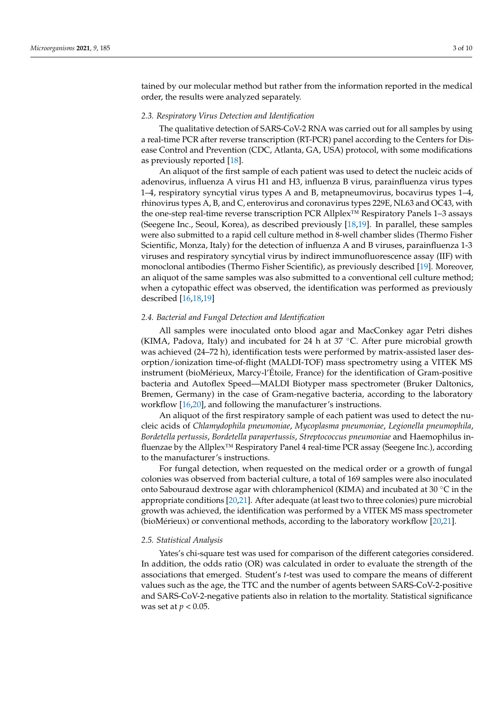tained by our molecular method but rather from the information reported in the medical order, the results were analyzed separately.

#### *2.3. Respiratory Virus Detection and Identification*

The qualitative detection of SARS-CoV-2 RNA was carried out for all samples by using a real-time PCR after reverse transcription (RT-PCR) panel according to the Centers for Disease Control and Prevention (CDC, Atlanta, GA, USA) protocol, with some modifications as previously reported [\[18\]](#page-9-8).

An aliquot of the first sample of each patient was used to detect the nucleic acids of adenovirus, influenza A virus H1 and H3, influenza B virus, parainfluenza virus types 1–4, respiratory syncytial virus types A and B, metapneumovirus, bocavirus types 1–4, rhinovirus types A, B, and C, enterovirus and coronavirus types 229E, NL63 and OC43, with the one-step real-time reverse transcription PCR Allplex™ Respiratory Panels 1–3 assays (Seegene Inc., Seoul, Korea), as described previously [\[18](#page-9-8)[,19\]](#page-9-9). In parallel, these samples were also submitted to a rapid cell culture method in 8-well chamber slides (Thermo Fisher Scientific, Monza, Italy) for the detection of influenza A and B viruses, parainfluenza 1-3 viruses and respiratory syncytial virus by indirect immunofluorescence assay (IIF) with monoclonal antibodies (Thermo Fisher Scientific), as previously described [\[19\]](#page-9-9). Moreover, an aliquot of the same samples was also submitted to a conventional cell culture method; when a cytopathic effect was observed, the identification was performed as previously described [\[16,](#page-9-6)[18,](#page-9-8)[19\]](#page-9-9)

#### *2.4. Bacterial and Fungal Detection and Identification*

All samples were inoculated onto blood agar and MacConkey agar Petri dishes (KIMA, Padova, Italy) and incubated for 24 h at 37  $°C$ . After pure microbial growth was achieved (24–72 h), identification tests were performed by matrix-assisted laser desorption/ionization time-of-flight (MALDI-TOF) mass spectrometry using a VITEK MS instrument (bioMérieux, Marcy-l'Étoile, France) for the identification of Gram-positive bacteria and Autoflex Speed—MALDI Biotyper mass spectrometer (Bruker Daltonics, Bremen, Germany) in the case of Gram-negative bacteria, according to the laboratory workflow [\[16,](#page-9-6)[20\]](#page-9-10), and following the manufacturer's instructions.

An aliquot of the first respiratory sample of each patient was used to detect the nucleic acids of *Chlamydophila pneumoniae*, *Mycoplasma pneumoniae*, *Legionella pneumophila*, *Bordetella pertussis*, *Bordetella parapertussis*, *Streptococcus pneumoniae* and Haemophilus influenzae by the Allplex™ Respiratory Panel 4 real-time PCR assay (Seegene Inc.), according to the manufacturer's instructions.

For fungal detection, when requested on the medical order or a growth of fungal colonies was observed from bacterial culture, a total of 169 samples were also inoculated onto Sabouraud dextrose agar with chloramphenicol (KIMA) and incubated at 30 ◦C in the appropriate conditions [\[20,](#page-9-10)[21\]](#page-9-11). After adequate (at least two to three colonies) pure microbial growth was achieved, the identification was performed by a VITEK MS mass spectrometer (bioMérieux) or conventional methods, according to the laboratory workflow [\[20,](#page-9-10)[21\]](#page-9-11).

#### *2.5. Statistical Analysis*

Yates's chi-square test was used for comparison of the different categories considered. In addition, the odds ratio (OR) was calculated in order to evaluate the strength of the associations that emerged. Student's *t*-test was used to compare the means of different values such as the age, the TTC and the number of agents between SARS-CoV-2-positive and SARS-CoV-2-negative patients also in relation to the mortality. Statistical significance was set at *p* < 0.05.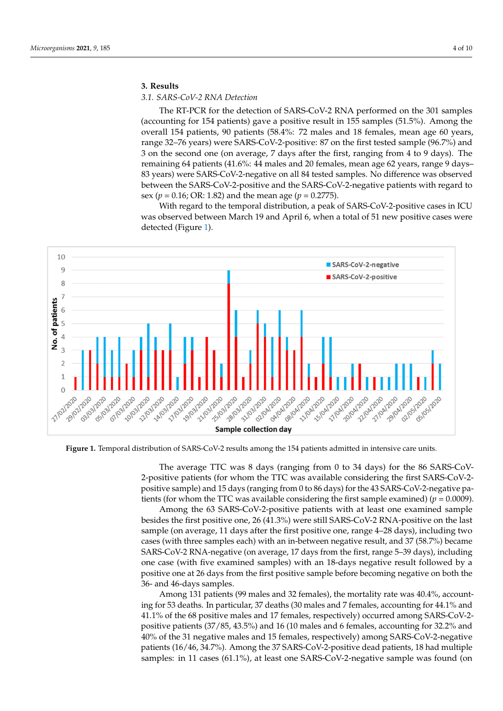# **3. Results 3. Results**

# *3.1. SARS-CoV-2 RNA Detection 3.1. SARS-CoV-2 RNA Detection*

The RT-PCR for the detection of SARS-CoV-2 RNA performed on the 301 samples The RT-PCR for the detection of SARS-CoV-2 RNA performed on the 301 samples (accounting for 154 patients) gave a positive result in 155 samples (51.5%). Among the (accounting for 154 patients) gave a positive result in 155 samples (51.5%). Among the overall 154 patients, 90 patients (58.4%: 72 males and 18 females, mean age 60 years, range 32–76 years) were SARS-CoV-2-positive: 87 on the first tested sample (96.7%) and 3 on the second one (on average, 7 days after the first, ranging from 4 to 9 days). The remaining 64 patients (41.6%: 44 males and 20 females, mean age 62 years, range 9 days-83 years) were SARS-CoV-2-negative on all 84 tested samples. No difference was observed between the SARS-CoV-2-positive and the SARS-CoV-2-negative patients with regard to sex ( $p = 0.16$ ; OR: 1.82) and the mean age ( $p = 0.2775$ ).

With regard to the temporal distribution, a peak of SARS-CoV-2-positive cases in ICU With regard to the temporal distribution, a peak of SARS-CoV-2-positive cases in ICU was observed between March 19 and April 6, when a total of 51 new positive cases were detected (Figure [1\)](#page-3-0). detected (Figure 1).

<span id="page-3-0"></span>

Figure 1. Temporal distribution of SARS-CoV-2 results among the 154 patients admitted in intensive care units.

The average TTC was 8 days (ranging from 0 to 34 days) for the 86 SARS-CoV-2-positive patients (for whom the TTC was available considering the first SARS-CoV-2positive sample) and 15 days (ranging from 0 to 86 days) for the 43 SARS-CoV-2-negative patients (for whom the TTC was available considering the first sample examined) ( $p = 0.0009$ ).

Among the 63 SARS-CoV-2-positive patients with at least one examined sample besides the first positive one, 26 (41.3%) were still SARS-CoV-2 RNA-positive on the last sample (on average, 11 days after the first positive one, range 4–28 days), including two sample (on average, 11 days after the first positive one, range 4–28 days), including two cases (with three samples each) with an in-between negative result, and 37 (58.7%) became SARS-CoV-2 RNA-negative (on average, 17 days from the first, range 5–39 days), including one case (with five examined samples) with an 18-days negative result followed by a positive one at 26 days from the first positive sample before becoming negative on both the 36- and 46-days samples.

Among 131 patients (99 males and 32 females), the mortality rate was 40.4%, accounting for 53 deaths. In particular, 37 deaths (30 males and 7 females, accounting for 44.1% and 41.1% of the 68 positive males and 17 females, respectively) occurred among SARS-CoV-2positive patients  $(37/85, 43.5%)$  and 16 (10 males and 6 females, accounting for 32.2% and 40% of the 31 negative males and 15 females, respectively) among SARS-CoV-2-negative patients (16/46, 34.7%). Among the 37 SARS-CoV-2-positive dead patients, 18 had multiple samples: in 11 cases (61.1%), at least one SARS-CoV-2-negative sample was found (on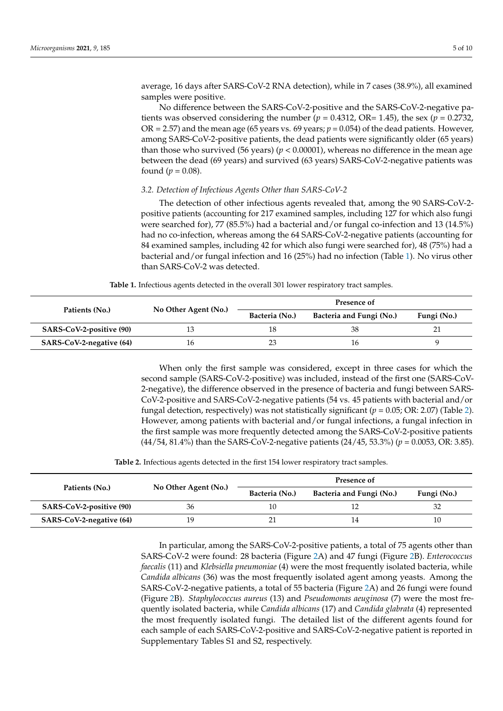average, 16 days after SARS-CoV-2 RNA detection), while in 7 cases (38.9%), all examined samples were positive.

No difference between the SARS-CoV-2-positive and the SARS-CoV-2-negative patients was observed considering the number  $(p = 0.4312, \text{ OR} = 1.45)$ , the sex  $(p = 0.2732, \text{ OR} = 1.45)$ OR = 2.57) and the mean age (65 years vs. 69 years;  $p = 0.054$ ) of the dead patients. However, among SARS-CoV-2-positive patients, the dead patients were significantly older (65 years) than those who survived (56 years) ( $p < 0.00001$ ), whereas no difference in the mean age between the dead (69 years) and survived (63 years) SARS-CoV-2-negative patients was found ( $p = 0.08$ ).

# *3.2. Detection of Infectious Agents Other than SARS-CoV-2*

The detection of other infectious agents revealed that, among the 90 SARS-CoV-2 positive patients (accounting for 217 examined samples, including 127 for which also fungi were searched for), 77 (85.5%) had a bacterial and/or fungal co-infection and 13 (14.5%) had no co-infection, whereas among the 64 SARS-CoV-2-negative patients (accounting for 84 examined samples, including 42 for which also fungi were searched for), 48 (75%) had a bacterial and/or fungal infection and 16 (25%) had no infection (Table [1\)](#page-4-0). No virus other than SARS-CoV-2 was detected.

**Table 1.** Infectious agents detected in the overall 301 lower respiratory tract samples.

<span id="page-4-0"></span>

| Patients (No.)           | No Other Agent (No.) | Presence of    |                          |             |
|--------------------------|----------------------|----------------|--------------------------|-------------|
|                          |                      | Bacteria (No.) | Bacteria and Fungi (No.) | Fungi (No.) |
| SARS-CoV-2-positive (90) |                      |                |                          |             |
| SARS-CoV-2-negative (64) |                      |                |                          |             |

When only the first sample was considered, except in three cases for which the second sample (SARS-CoV-2-positive) was included, instead of the first one (SARS-CoV-2-negative), the difference observed in the presence of bacteria and fungi between SARS-CoV-2-positive and SARS-CoV-2-negative patients (54 vs. 45 patients with bacterial and/or fungal detection, respectively) was not statistically significant (*p* = 0.05; OR: 2.07) (Table [2\)](#page-4-1). However, among patients with bacterial and/or fungal infections, a fungal infection in the first sample was more frequently detected among the SARS-CoV-2-positive patients (44/54, 81.4%) than the SARS-CoV-2-negative patients (24/45, 53.3%) (*p* = 0.0053, OR: 3.85).

**Table 2.** Infectious agents detected in the first 154 lower respiratory tract samples.

<span id="page-4-1"></span>

| Patients (No.)           | No Other Agent (No.) | Presence of    |                          |             |
|--------------------------|----------------------|----------------|--------------------------|-------------|
|                          |                      | Bacteria (No.) | Bacteria and Fungi (No.) | Fungi (No.) |
| SARS-CoV-2-positive (90) |                      |                |                          |             |
| SARS-CoV-2-negative (64) |                      |                |                          |             |

In particular, among the SARS-CoV-2-positive patients, a total of 75 agents other than SARS-CoV-2 were found: 28 bacteria (Figure [2A](#page-5-0)) and 47 fungi (Figure [2B](#page-5-0)). *Enterococcus faecalis* (11) and *Klebsiella pneumoniae* (4) were the most frequently isolated bacteria, while *Candida albicans* (36) was the most frequently isolated agent among yeasts. Among the SARS-CoV-2-negative patients, a total of 55 bacteria (Figure [2A](#page-5-0)) and 26 fungi were found (Figure [2B](#page-5-0)). *Staphylococcus aureus* (13) and *Pseudomonas aeuginosa* (7) were the most frequently isolated bacteria, while *Candida albicans* (17) and *Candida glabrata* (4) represented the most frequently isolated fungi. The detailed list of the different agents found for each sample of each SARS-CoV-2-positive and SARS-CoV-2-negative patient is reported in Supplementary Tables S1 and S2, respectively.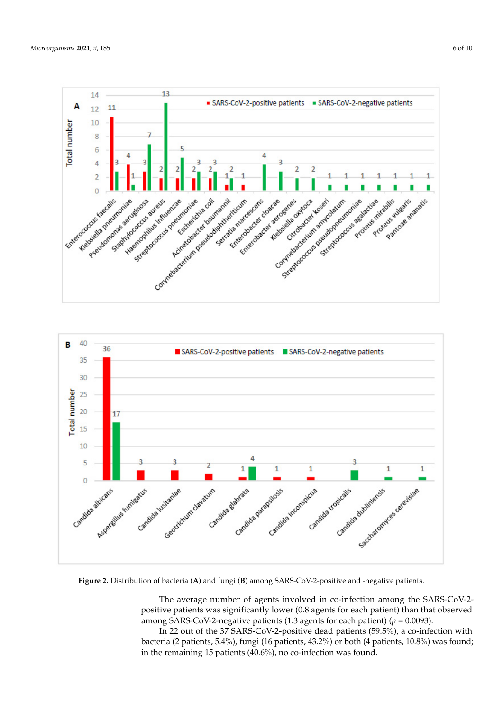<span id="page-5-0"></span>



Figure 2. Distribution of bacteria (A) and fungi (B) among SARS-CoV-2-positive and -negative patients.

The average number of agents involved in co-infection among the SARS-CoV-2- $P$  positive patients was significantly follower (0.0 agents for each patient) (*p* = 0.0093). **Presence of**  positive patients was significantly lower (0.8 agents for each patient) than that observed

**(No.) Bacteria (No.) Bacteria and Fungi (No.) Fungi (No.)**  In 22 out of the 37 SARS-CoV-2-positive dead patients (59.5%), a co-infection with bacteria (2 patients, 5.4%), fungi (16 patients, 43.2%) or both (4 patients, 10.8%) was found; in the remaining 15 patients (40.6%), no co-infection was found.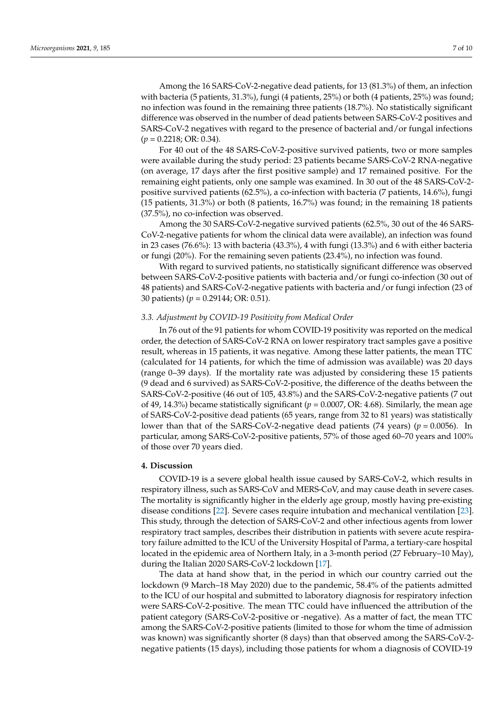Among the 16 SARS-CoV-2-negative dead patients, for 13 (81.3%) of them, an infection with bacteria (5 patients, 31.3%), fungi (4 patients, 25%) or both (4 patients, 25%) was found; no infection was found in the remaining three patients (18.7%). No statistically significant difference was observed in the number of dead patients between SARS-CoV-2 positives and SARS-CoV-2 negatives with regard to the presence of bacterial and/or fungal infections (*p* = 0.2218; OR: 0.34).

For 40 out of the 48 SARS-CoV-2-positive survived patients, two or more samples were available during the study period: 23 patients became SARS-CoV-2 RNA-negative (on average, 17 days after the first positive sample) and 17 remained positive. For the remaining eight patients, only one sample was examined. In 30 out of the 48 SARS-CoV-2 positive survived patients (62.5%), a co-infection with bacteria (7 patients, 14.6%), fungi (15 patients, 31.3%) or both (8 patients, 16.7%) was found; in the remaining 18 patients (37.5%), no co-infection was observed.

Among the 30 SARS-CoV-2-negative survived patients (62.5%, 30 out of the 46 SARS-CoV-2-negative patients for whom the clinical data were available), an infection was found in 23 cases (76.6%): 13 with bacteria (43.3%), 4 with fungi (13.3%) and 6 with either bacteria or fungi (20%). For the remaining seven patients (23.4%), no infection was found.

With regard to survived patients, no statistically significant difference was observed between SARS-CoV-2-positive patients with bacteria and/or fungi co-infection (30 out of 48 patients) and SARS-CoV-2-negative patients with bacteria and/or fungi infection (23 of 30 patients) (*p* = 0.29144; OR: 0.51).

## *3.3. Adjustment by COVID-19 Positivity from Medical Order*

In 76 out of the 91 patients for whom COVID-19 positivity was reported on the medical order, the detection of SARS-CoV-2 RNA on lower respiratory tract samples gave a positive result, whereas in 15 patients, it was negative. Among these latter patients, the mean TTC (calculated for 14 patients, for which the time of admission was available) was 20 days (range 0–39 days). If the mortality rate was adjusted by considering these 15 patients (9 dead and 6 survived) as SARS-CoV-2-positive, the difference of the deaths between the SARS-CoV-2-positive (46 out of 105, 43.8%) and the SARS-CoV-2-negative patients (7 out of 49, 14.3%) became statistically significant (*p* = 0.0007, OR: 4.68). Similarly, the mean age of SARS-CoV-2-positive dead patients (65 years, range from 32 to 81 years) was statistically lower than that of the SARS-CoV-2-negative dead patients (74 years) ( $p = 0.0056$ ). In particular, among SARS-CoV-2-positive patients, 57% of those aged 60–70 years and 100% of those over 70 years died.

### **4. Discussion**

COVID-19 is a severe global health issue caused by SARS-CoV-2, which results in respiratory illness, such as SARS-CoV and MERS-CoV, and may cause death in severe cases. The mortality is significantly higher in the elderly age group, mostly having pre-existing disease conditions [\[22\]](#page-9-12). Severe cases require intubation and mechanical ventilation [\[23\]](#page-9-13). This study, through the detection of SARS-CoV-2 and other infectious agents from lower respiratory tract samples, describes their distribution in patients with severe acute respiratory failure admitted to the ICU of the University Hospital of Parma, a tertiary-care hospital located in the epidemic area of Northern Italy, in a 3-month period (27 February–10 May), during the Italian 2020 SARS-CoV-2 lockdown [\[17\]](#page-9-7).

The data at hand show that, in the period in which our country carried out the lockdown (9 March–18 May 2020) due to the pandemic, 58.4% of the patients admitted to the ICU of our hospital and submitted to laboratory diagnosis for respiratory infection were SARS-CoV-2-positive. The mean TTC could have influenced the attribution of the patient category (SARS-CoV-2-positive or -negative). As a matter of fact, the mean TTC among the SARS-CoV-2-positive patients (limited to those for whom the time of admission was known) was significantly shorter (8 days) than that observed among the SARS-CoV-2 negative patients (15 days), including those patients for whom a diagnosis of COVID-19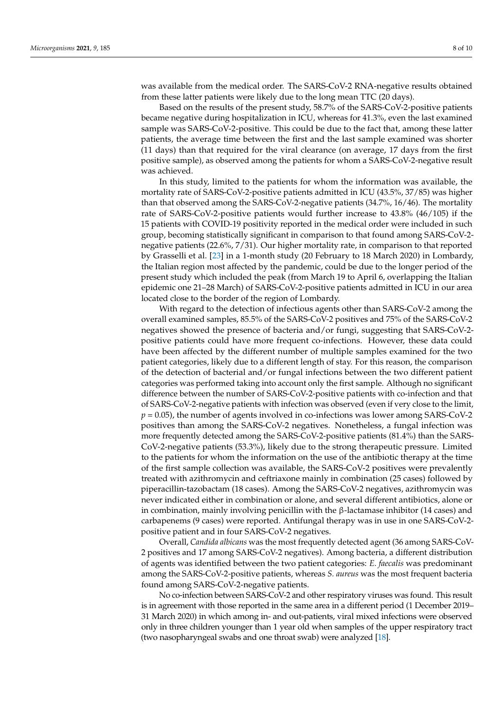was available from the medical order. The SARS-CoV-2 RNA-negative results obtained from these latter patients were likely due to the long mean TTC (20 days).

Based on the results of the present study, 58.7% of the SARS-CoV-2-positive patients became negative during hospitalization in ICU, whereas for 41.3%, even the last examined sample was SARS-CoV-2-positive. This could be due to the fact that, among these latter patients, the average time between the first and the last sample examined was shorter (11 days) than that required for the viral clearance (on average, 17 days from the first positive sample), as observed among the patients for whom a SARS-CoV-2-negative result was achieved.

In this study, limited to the patients for whom the information was available, the mortality rate of SARS-CoV-2-positive patients admitted in ICU (43.5%, 37/85) was higher than that observed among the SARS-CoV-2-negative patients (34.7%, 16/46). The mortality rate of SARS-CoV-2-positive patients would further increase to 43.8% (46/105) if the 15 patients with COVID-19 positivity reported in the medical order were included in such group, becoming statistically significant in comparison to that found among SARS-CoV-2 negative patients (22.6%, 7/31). Our higher mortality rate, in comparison to that reported by Grasselli et al. [\[23\]](#page-9-13) in a 1-month study (20 February to 18 March 2020) in Lombardy, the Italian region most affected by the pandemic, could be due to the longer period of the present study which included the peak (from March 19 to April 6, overlapping the Italian epidemic one 21–28 March) of SARS-CoV-2-positive patients admitted in ICU in our area located close to the border of the region of Lombardy.

With regard to the detection of infectious agents other than SARS-CoV-2 among the overall examined samples, 85.5% of the SARS-CoV-2 positives and 75% of the SARS-CoV-2 negatives showed the presence of bacteria and/or fungi, suggesting that SARS-CoV-2 positive patients could have more frequent co-infections. However, these data could have been affected by the different number of multiple samples examined for the two patient categories, likely due to a different length of stay. For this reason, the comparison of the detection of bacterial and/or fungal infections between the two different patient categories was performed taking into account only the first sample. Although no significant difference between the number of SARS-CoV-2-positive patients with co-infection and that of SARS-CoV-2-negative patients with infection was observed (even if very close to the limit, *p* = 0.05), the number of agents involved in co-infections was lower among SARS-CoV-2 positives than among the SARS-CoV-2 negatives. Nonetheless, a fungal infection was more frequently detected among the SARS-CoV-2-positive patients (81.4%) than the SARS-CoV-2-negative patients (53.3%), likely due to the strong therapeutic pressure. Limited to the patients for whom the information on the use of the antibiotic therapy at the time of the first sample collection was available, the SARS-CoV-2 positives were prevalently treated with azithromycin and ceftriaxone mainly in combination (25 cases) followed by piperacillin-tazobactam (18 cases). Among the SARS-CoV-2 negatives, azithromycin was never indicated either in combination or alone, and several different antibiotics, alone or in combination, mainly involving penicillin with the β-lactamase inhibitor (14 cases) and carbapenems (9 cases) were reported. Antifungal therapy was in use in one SARS-CoV-2 positive patient and in four SARS-CoV-2 negatives.

Overall, *Candida albicans* was the most frequently detected agent (36 among SARS-CoV-2 positives and 17 among SARS-CoV-2 negatives). Among bacteria, a different distribution of agents was identified between the two patient categories: *E. faecalis* was predominant among the SARS-CoV-2-positive patients, whereas *S. aureus* was the most frequent bacteria found among SARS-CoV-2-negative patients.

No co-infection between SARS-CoV-2 and other respiratory viruses was found. This result is in agreement with those reported in the same area in a different period (1 December 2019– 31 March 2020) in which among in- and out-patients, viral mixed infections were observed only in three children younger than 1 year old when samples of the upper respiratory tract (two nasopharyngeal swabs and one throat swab) were analyzed [\[18\]](#page-9-8).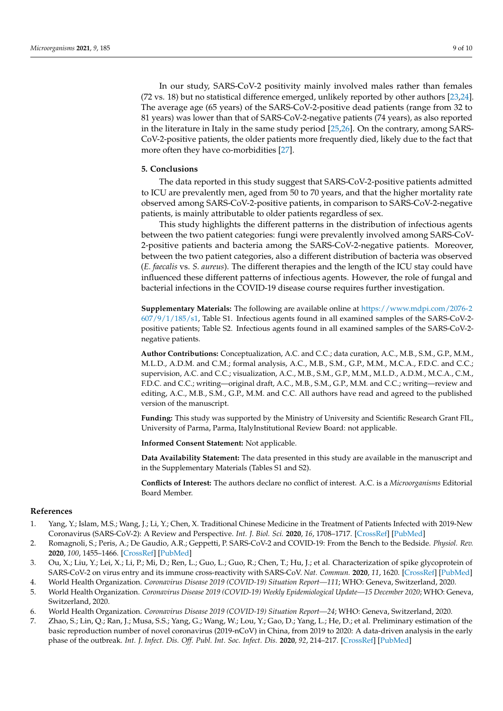In our study, SARS-CoV-2 positivity mainly involved males rather than females (72 vs. 18) but no statistical difference emerged, unlikely reported by other authors [\[23](#page-9-13)[,24\]](#page-9-14). The average age (65 years) of the SARS-CoV-2-positive dead patients (range from 32 to 81 years) was lower than that of SARS-CoV-2-negative patients (74 years), as also reported in the literature in Italy in the same study period [\[25](#page-9-15)[,26\]](#page-9-16). On the contrary, among SARS-CoV-2-positive patients, the older patients more frequently died, likely due to the fact that more often they have co-morbidities [\[27\]](#page-9-17).

## **5. Conclusions**

The data reported in this study suggest that SARS-CoV-2-positive patients admitted to ICU are prevalently men, aged from 50 to 70 years, and that the higher mortality rate observed among SARS-CoV-2-positive patients, in comparison to SARS-CoV-2-negative patients, is mainly attributable to older patients regardless of sex.

This study highlights the different patterns in the distribution of infectious agents between the two patient categories: fungi were prevalently involved among SARS-CoV-2-positive patients and bacteria among the SARS-CoV-2-negative patients. Moreover, between the two patient categories, also a different distribution of bacteria was observed (*E. faecalis* vs. *S. aureus*). The different therapies and the length of the ICU stay could have influenced these different patterns of infectious agents. However, the role of fungal and bacterial infections in the COVID-19 disease course requires further investigation.

**Supplementary Materials:** The following are available online at [https://www.mdpi.com/2076-2](https://www.mdpi.com/2076-2607/9/1/185/s1) [607/9/1/185/s1,](https://www.mdpi.com/2076-2607/9/1/185/s1) Table S1. Infectious agents found in all examined samples of the SARS-CoV-2 positive patients; Table S2. Infectious agents found in all examined samples of the SARS-CoV-2 negative patients.

**Author Contributions:** Conceptualization, A.C. and C.C.; data curation, A.C., M.B., S.M., G.P., M.M., M.L.D., A.D.M. and C.M.; formal analysis, A.C., M.B., S.M., G.P., M.M., M.C.A., F.D.C. and C.C.; supervision, A.C. and C.C.; visualization, A.C., M.B., S.M., G.P., M.M., M.L.D., A.D.M., M.C.A., C.M., F.D.C. and C.C.; writing—original draft, A.C., M.B., S.M., G.P., M.M. and C.C.; writing—review and editing, A.C., M.B., S.M., G.P., M.M. and C.C. All authors have read and agreed to the published version of the manuscript.

**Funding:** This study was supported by the Ministry of University and Scientific Research Grant FIL, University of Parma, Parma, ItalyInstitutional Review Board: not applicable.

**Informed Consent Statement:** Not applicable.

**Data Availability Statement:** The data presented in this study are available in the manuscript and in the Supplementary Materials (Tables S1 and S2).

**Conflicts of Interest:** The authors declare no conflict of interest. A.C. is a *Microorganisms* Editorial Board Member.

## **References**

- <span id="page-8-0"></span>1. Yang, Y.; Islam, M.S.; Wang, J.; Li, Y.; Chen, X. Traditional Chinese Medicine in the Treatment of Patients Infected with 2019-New Coronavirus (SARS-CoV-2): A Review and Perspective. *Int. J. Biol. Sci.* **2020**, *16*, 1708–1717. [\[CrossRef\]](http://doi.org/10.7150/ijbs.45538) [\[PubMed\]](http://www.ncbi.nlm.nih.gov/pubmed/32226288)
- 2. Romagnoli, S.; Peris, A.; De Gaudio, A.R.; Geppetti, P. SARS-CoV-2 and COVID-19: From the Bench to the Bedside. *Physiol. Rev.* **2020**, *100*, 1455–1466. [\[CrossRef\]](http://doi.org/10.1152/physrev.00020.2020) [\[PubMed\]](http://www.ncbi.nlm.nih.gov/pubmed/32496872)
- <span id="page-8-1"></span>3. Ou, X.; Liu, Y.; Lei, X.; Li, P.; Mi, D.; Ren, L.; Guo, L.; Guo, R.; Chen, T.; Hu, J.; et al. Characterization of spike glycoprotein of SARS-CoV-2 on virus entry and its immune cross-reactivity with SARS-CoV. *Nat. Commun.* **2020**, *11*, 1620. [\[CrossRef\]](http://doi.org/10.1038/s41467-020-15562-9) [\[PubMed\]](http://www.ncbi.nlm.nih.gov/pubmed/32221306)
- <span id="page-8-2"></span>4. World Health Organization. *Coronavirus Disease 2019 (COVID-19) Situation Report—111*; WHO: Geneva, Switzerland, 2020.
- <span id="page-8-3"></span>5. World Health Organization. *Coronavirus Disease 2019 (COVID-19) Weekly Epidemiological Update—15 December 2020*; WHO: Geneva, Switzerland, 2020.
- <span id="page-8-4"></span>6. World Health Organization. *Coronavirus Disease 2019 (COVID-19) Situation Report—24*; WHO: Geneva, Switzerland, 2020.
- <span id="page-8-5"></span>7. Zhao, S.; Lin, Q.; Ran, J.; Musa, S.S.; Yang, G.; Wang, W.; Lou, Y.; Gao, D.; Yang, L.; He, D.; et al. Preliminary estimation of the basic reproduction number of novel coronavirus (2019-nCoV) in China, from 2019 to 2020: A data-driven analysis in the early phase of the outbreak. *Int. J. Infect. Dis. Off. Publ. Int. Soc. Infect. Dis.* **2020**, *92*, 214–217. [\[CrossRef\]](http://doi.org/10.1016/j.ijid.2020.01.050) [\[PubMed\]](http://www.ncbi.nlm.nih.gov/pubmed/32007643)